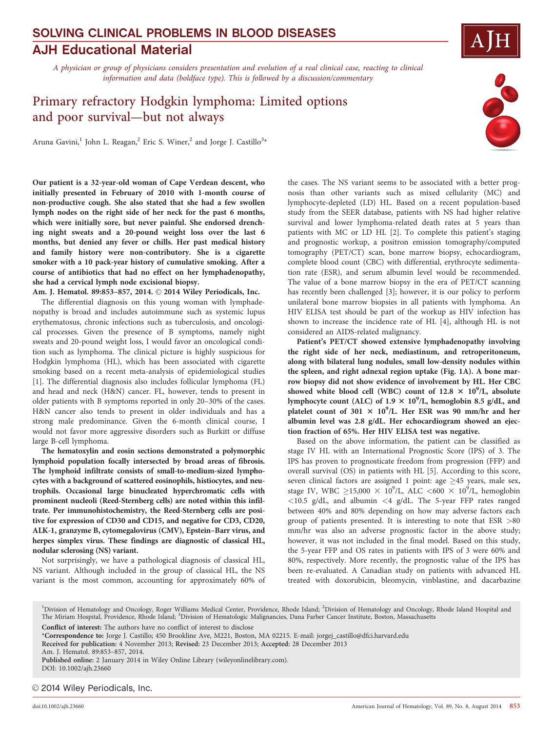# AJH Educational Material SOLVING CLINICAL PROBLEMS IN BLOOD DISEASES

A physician or group of physicians considers presentation and evolution of a real clinical case, reacting to clinical information and data (boldface type). This is followed by a discussion/commentary

# Primary refractory Hodgkin lymphoma: Limited options and poor survival—but not always

Aruna Gavini,1 John L. Reagan,<sup>2</sup> Eric S. Winer,<sup>2</sup> and Jorge J. Castillo<sup>3</sup>\*

Our patient is a 32-year-old woman of Cape Verdean descent, who initially presented in February of 2010 with 1-month course of non-productive cough. She also stated that she had a few swollen lymph nodes on the right side of her neck for the past 6 months, which were initially sore, but never painful. She endorsed drenching night sweats and a 20-pound weight loss over the last 6 months, but denied any fever or chills. Her past medical history and family history were non-contributory. She is a cigarette smoker with a 10 pack-year history of cumulative smoking. After a course of antibiotics that had no effect on her lymphadenopathy, she had a cervical lymph node excisional biopsy.

Am. J. Hematol. 89:853-857, 2014. 2014 Wiley Periodicals, Inc.

The differential diagnosis on this young woman with lymphadenopathy is broad and includes autoimmune such as systemic lupus erythematosus, chronic infections such as tuberculosis, and oncological processes. Given the presence of B symptoms, namely night sweats and 20-pound weight loss, I would favor an oncological condition such as lymphoma. The clinical picture is highly suspicious for Hodgkin lymphoma (HL), which has been associated with cigarette smoking based on a recent meta-analysis of epidemiological studies [1]. The differential diagnosis also includes follicular lymphoma (FL) and head and neck (H&N) cancer. FL, however, tends to present in older patients with B symptoms reported in only 20–30% of the cases. H&N cancer also tends to present in older individuals and has a strong male predominance. Given the 6-month clinical course, I would not favor more aggressive disorders such as Burkitt or diffuse large B-cell lymphoma.

The hematoxylin and eosin sections demonstrated a polymorphic lymphoid population focally intersected by broad areas of fibrosis. The lymphoid infiltrate consists of small-to-medium-sized lymphocytes with a background of scattered eosinophils, histiocytes, and neutrophils. Occasional large binucleated hyperchromatic cells with prominent nucleoli (Reed-Sternberg cells) are noted within this infiltrate. Per immunohistochemistry, the Reed-Sternberg cells are positive for expression of CD30 and CD15, and negative for CD3, CD20, ALK-1, granzyme B, cytomegalovirus (CMV), Epstein–Barr virus, and herpes simplex virus. These findings are diagnostic of classical HL, nodular sclerosing (NS) variant.

Not surprisingly, we have a pathological diagnosis of classical HL, NS variant. Although included in the group of classical HL, the NS variant is the most common, accounting for approximately 60% of the cases. The NS variant seems to be associated with a better prognosis than other variants such as mixed cellularity (MC) and lymphocyte-depleted (LD) HL. Based on a recent population-based study from the SEER database, patients with NS had higher relative survival and lower lymphoma-related death rates at 5 years than patients with MC or LD HL [2]. To complete this patient's staging and prognostic workup, a positron emission tomography/computed tomography (PET/CT) scan, bone marrow biopsy, echocardiogram, complete blood count (CBC) with differential, erythrocyte sedimentation rate (ESR), and serum albumin level would be recommended. The value of a bone marrow biopsy in the era of PET/CT scanning has recently been challenged [3]; however, it is our policy to perform unilateral bone marrow biopsies in all patients with lymphoma. An HIV ELISA test should be part of the workup as HIV infection has shown to increase the incidence rate of HL [4], although HL is not considered an AIDS-related malignancy.

Patient's PET/CT showed extensive lymphadenopathy involving the right side of her neck, mediastinum, and retroperitoneum, along with bilateral lung nodules, small low-density nodules within the spleen, and right adnexal region uptake (Fig. 1A). A bone marrow biopsy did not show evidence of involvement by HL. Her CBC showed white blood cell (WBC) count of  $12.8 \times 10^9$ /L, absolute lymphocyte count (ALC) of  $1.9 \times 10^9$ /L, hemoglobin 8.5 g/dL, and platelet count of 301  $\times$  10<sup>9</sup>/L. Her ESR was 90 mm/hr and her albumin level was 2.8 g/dL. Her echocardiogram showed an ejection fraction of 65%. Her HIV ELISA test was negative.

Based on the above information, the patient can be classified as stage IV HL with an International Prognostic Score (IPS) of 3. The IPS has proven to prognosticate freedom from progression (FFP) and overall survival (OS) in patients with HL [5]. According to this score, seven clinical factors are assigned 1 point: age  $\geq$ 45 years, male sex, stage IV, WBC  $\geq$ 15,000  $\times$  10<sup>9</sup>/L, ALC <600  $\times$  10<sup>9</sup>/L, hemoglobin  $<$ 10.5 g/dL, and albumin  $<$ 4 g/dL. The 5-year FFP rates ranged between 40% and 80% depending on how may adverse factors each group of patients presented. It is interesting to note that ESR >80 mm/hr was also an adverse prognostic factor in the above study; however, it was not included in the final model. Based on this study, the 5-year FFP and OS rates in patients with IPS of 3 were 60% and 80%, respectively. More recently, the prognostic value of the IPS has been re-evaluated. A Canadian study on patients with advanced HL treated with doxorubicin, bleomycin, vinblastine, and dacarbazine

Conflict of interest: The authors have no conflict of interest to disclose

\*Correspondence to: Jorge J. Castillo; 450 Brookline Ave, M221, Boston, MA 02215. E-mail: jorgej\_castillo@dfci.harvard.edu

Published online: 2 January 2014 in Wiley Online Library (wileyonlinelibrary.com). DOI: 10.1002/ajh.23660

#### $©$  2014 Wiley Periodicals, Inc.



<sup>&</sup>lt;sup>1</sup>Division of Hematology and Oncology, Roger Williams Medical Center, Providence, Rhode Island; <sup>2</sup>Division of Hematology and Oncology, Rhode Island Hospital and The Miriam Hospital, Providence, Rhode Island; <sup>3</sup>Division of Hematologic Malignancies, Dana Farber Cancer Institute, Boston, Massachusetts

Received for publication: 4 November 2013; Revised: 23 December 2013; Accepted: 28 December 2013

Am. J. Hematol. 89:853–857, 2014.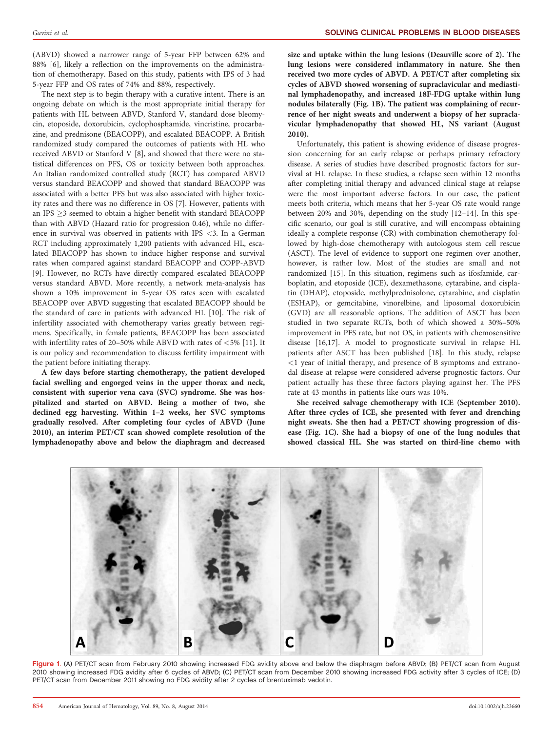(ABVD) showed a narrower range of 5-year FFP between 62% and 88% [6], likely a reflection on the improvements on the administration of chemotherapy. Based on this study, patients with IPS of 3 had 5-year FFP and OS rates of 74% and 88%, respectively.

The next step is to begin therapy with a curative intent. There is an ongoing debate on which is the most appropriate initial therapy for patients with HL between ABVD, Stanford V, standard dose bleomycin, etoposide, doxorubicin, cyclophosphamide, vincristine, procarbazine, and prednisone (BEACOPP), and escalated BEACOPP. A British randomized study compared the outcomes of patients with HL who received ABVD or Stanford V [8], and showed that there were no statistical differences on PFS, OS or toxicity between both approaches. An Italian randomized controlled study (RCT) has compared ABVD versus standard BEACOPP and showed that standard BEACOPP was associated with a better PFS but was also associated with higher toxicity rates and there was no difference in OS [7]. However, patients with an IPS  $\geq$ 3 seemed to obtain a higher benefit with standard BEACOPP than with ABVD (Hazard ratio for progression 0.46), while no difference in survival was observed in patients with IPS <3. In a German RCT including approximately 1,200 patients with advanced HL, escalated BEACOPP has shown to induce higher response and survival rates when compared against standard BEACOPP and COPP-ABVD [9]. However, no RCTs have directly compared escalated BEACOPP versus standard ABVD. More recently, a network meta-analysis has shown a 10% improvement in 5-year OS rates seen with escalated BEACOPP over ABVD suggesting that escalated BEACOPP should be the standard of care in patients with advanced HL [10]. The risk of infertility associated with chemotherapy varies greatly between regimens. Specifically, in female patients, BEACOPP has been associated with infertility rates of 20–50% while ABVD with rates of <5% [11]. It is our policy and recommendation to discuss fertility impairment with the patient before initiating therapy.

A few days before starting chemotherapy, the patient developed facial swelling and engorged veins in the upper thorax and neck, consistent with superior vena cava (SVC) syndrome. She was hospitalized and started on ABVD. Being a mother of two, she declined egg harvesting. Within 1–2 weeks, her SVC symptoms gradually resolved. After completing four cycles of ABVD (June 2010), an interim PET/CT scan showed complete resolution of the lymphadenopathy above and below the diaphragm and decreased

size and uptake within the lung lesions (Deauville score of 2). The lung lesions were considered inflammatory in nature. She then received two more cycles of ABVD. A PET/CT after completing six cycles of ABVD showed worsening of supraclavicular and mediastinal lymphadenopathy, and increased 18F-FDG uptake within lung nodules bilaterally (Fig. 1B). The patient was complaining of recurrence of her night sweats and underwent a biopsy of her supraclavicular lymphadenopathy that showed HL, NS variant (August 2010).

Unfortunately, this patient is showing evidence of disease progression concerning for an early relapse or perhaps primary refractory disease. A series of studies have described prognostic factors for survival at HL relapse. In these studies, a relapse seen within 12 months after completing initial therapy and advanced clinical stage at relapse were the most important adverse factors. In our case, the patient meets both criteria, which means that her 5-year OS rate would range between 20% and 30%, depending on the study [12–14]. In this specific scenario, our goal is still curative, and will encompass obtaining ideally a complete response (CR) with combination chemotherapy followed by high-dose chemotherapy with autologous stem cell rescue (ASCT). The level of evidence to support one regimen over another, however, is rather low. Most of the studies are small and not randomized [15]. In this situation, regimens such as ifosfamide, carboplatin, and etoposide (ICE), dexamethasone, cytarabine, and cisplatin (DHAP), etoposide, methylprednisolone, cytarabine, and cisplatin (ESHAP), or gemcitabine, vinorelbine, and liposomal doxorubicin (GVD) are all reasonable options. The addition of ASCT has been studied in two separate RCTs, both of which showed a 30%–50% improvement in PFS rate, but not OS, in patients with chemosensitive disease [16,17]. A model to prognosticate survival in relapse HL patients after ASCT has been published [18]. In this study, relapse  $\leq$ 1 year of initial therapy, and presence of B symptoms and extranodal disease at relapse were considered adverse prognostic factors. Our patient actually has these three factors playing against her. The PFS rate at 43 months in patients like ours was 10%.

She received salvage chemotherapy with ICE (September 2010). After three cycles of ICE, she presented with fever and drenching night sweats. She then had a PET/CT showing progression of disease (Fig. 1C). She had a biopsy of one of the lung nodules that showed classical HL. She was started on third-line chemo with



Figure 1. (A) PET/CT scan from February 2010 showing increased FDG avidity above and below the diaphragm before ABVD; (B) PET/CT scan from August 2010 showing increased FDG avidity after 6 cycles of ABVD; (C) PET/CT scan from December 2010 showing increased FDG activity after 3 cycles of ICE; (D) PET/CT scan from December 2011 showing no FDG avidity after 2 cycles of brentuximab vedotin.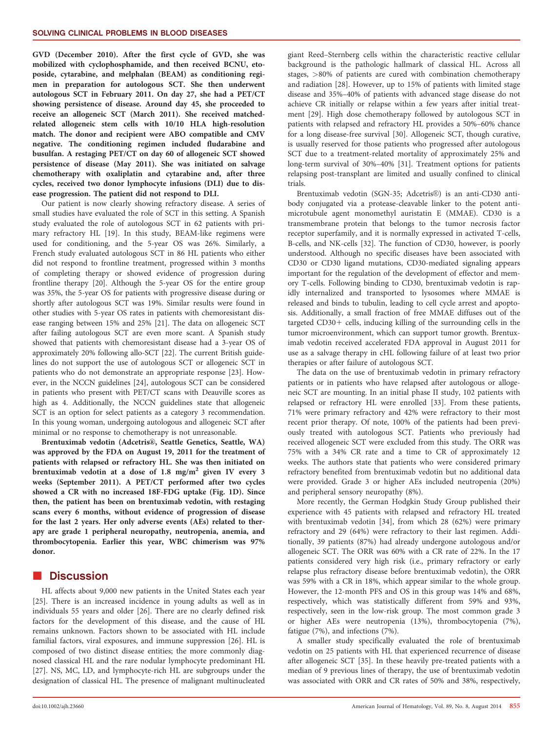GVD (December 2010). After the first cycle of GVD, she was mobilized with cyclophosphamide, and then received BCNU, etoposide, cytarabine, and melphalan (BEAM) as conditioning regimen in preparation for autologous SCT. She then underwent autologous SCT in February 2011. On day 27, she had a PET/CT showing persistence of disease. Around day 45, she proceeded to receive an allogeneic SCT (March 2011). She received matchedrelated allogeneic stem cells with 10/10 HLA high-resolution match. The donor and recipient were ABO compatible and CMV negative. The conditioning regimen included fludarabine and busulfan. A restaging PET/CT on day 60 of allogeneic SCT showed persistence of disease (May 2011). She was initiated on salvage chemotherapy with oxaliplatin and cytarabine and, after three cycles, received two donor lymphocyte infusions (DLI) due to disease progression. The patient did not respond to DLI.

Our patient is now clearly showing refractory disease. A series of small studies have evaluated the role of SCT in this setting. A Spanish study evaluated the role of autologous SCT in 62 patients with primary refractory HL [19]. In this study, BEAM-like regimens were used for conditioning, and the 5-year OS was 26%. Similarly, a French study evaluated autologous SCT in 86 HL patients who either did not respond to frontline treatment, progressed within 3 months of completing therapy or showed evidence of progression during frontline therapy [20]. Although the 5-year OS for the entire group was 35%, the 5-year OS for patients with progressive disease during or shortly after autologous SCT was 19%. Similar results were found in other studies with 5-year OS rates in patients with chemoresistant disease ranging between 15% and 25% [21]. The data on allogeneic SCT after failing autologous SCT are even more scant. A Spanish study showed that patients with chemoresistant disease had a 3-year OS of approximately 20% following allo-SCT [22]. The current British guidelines do not support the use of autologous SCT or allogeneic SCT in patients who do not demonstrate an appropriate response [23]. However, in the NCCN guidelines [24], autologous SCT can be considered in patients who present with PET/CT scans with Deauville scores as high as 4. Additionally, the NCCN guidelines state that allogeneic SCT is an option for select patients as a category 3 recommendation. In this young woman, undergoing autologous and allogeneic SCT after minimal or no response to chemotherapy is not unreasonable.

Brentuximab vedotin (Adcetris®, Seattle Genetics, Seattle, WA) was approved by the FDA on August 19, 2011 for the treatment of patients with relapsed or refractory HL. She was then initiated on brentuximab vedotin at a dose of 1.8 mg/m<sup>2</sup> given IV every 3 weeks (September 2011). A PET/CT performed after two cycles showed a CR with no increased 18F-FDG uptake (Fig. 1D). Since then, the patient has been on brentuximab vedotin, with restaging scans every 6 months, without evidence of progression of disease for the last 2 years. Her only adverse events (AEs) related to therapy are grade 1 peripheral neuropathy, neutropenia, anemia, and thrombocytopenia. Earlier this year, WBC chimerism was 97% donor.

### **Discussion**

HL affects about 9,000 new patients in the United States each year [25]. There is an increased incidence in young adults as well as in individuals 55 years and older [26]. There are no clearly defined risk factors for the development of this disease, and the cause of HL remains unknown. Factors shown to be associated with HL include familial factors, viral exposures, and immune suppression [26]. HL is composed of two distinct disease entities; the more commonly diagnosed classical HL and the rare nodular lymphocyte predominant HL [27]. NS, MC, LD, and lymphocyte-rich HL are subgroups under the designation of classical HL. The presence of malignant multinucleated giant Reed–Sternberg cells within the characteristic reactive cellular background is the pathologic hallmark of classical HL. Across all stages, >80% of patients are cured with combination chemotherapy and radiation [28]. However, up to 15% of patients with limited stage disease and 35%–40% of patients with advanced stage disease do not achieve CR initially or relapse within a few years after initial treatment [29]. High dose chemotherapy followed by autologous SCT in patients with relapsed and refractory HL provides a 50%–60% chance for a long disease-free survival [30]. Allogeneic SCT, though curative, is usually reserved for those patients who progressed after autologous SCT due to a treatment-related mortality of approximately 25% and long-term survival of 30%–40% [31]. Treatment options for patients relapsing post-transplant are limited and usually confined to clinical trials.

Brentuximab vedotin (SGN-35; Adcetris®) is an anti-CD30 antibody conjugated via a protease-cleavable linker to the potent antimicrotubule agent monomethyl auristatin E (MMAE). CD30 is a transmembrane protein that belongs to the tumor necrosis factor receptor superfamily, and it is normally expressed in activated T-cells, B-cells, and NK-cells [32]. The function of CD30, however, is poorly understood. Although no specific diseases have been associated with CD30 or CD30 ligand mutations, CD30-mediated signaling appears important for the regulation of the development of effector and memory T-cells. Following binding to CD30, brentuximab vedotin is rapidly internalized and transported to lysosomes where MMAE is released and binds to tubulin, leading to cell cycle arrest and apoptosis. Additionally, a small fraction of free MMAE diffuses out of the targeted  $CD30+$  cells, inducing killing of the surrounding cells in the tumor microenvironment, which can support tumor growth. Brentuximab vedotin received accelerated FDA approval in August 2011 for use as a salvage therapy in cHL following failure of at least two prior therapies or after failure of autologous SCT.

The data on the use of brentuximab vedotin in primary refractory patients or in patients who have relapsed after autologous or allogeneic SCT are mounting. In an initial phase II study, 102 patients with relapsed or refractory HL were enrolled [33]. From these patients, 71% were primary refractory and 42% were refractory to their most recent prior therapy. Of note, 100% of the patients had been previously treated with autologous SCT. Patients who previously had received allogeneic SCT were excluded from this study. The ORR was 75% with a 34% CR rate and a time to CR of approximately 12 weeks. The authors state that patients who were considered primary refractory benefited from brentuximab vedotin but no additional data were provided. Grade 3 or higher AEs included neutropenia (20%) and peripheral sensory neuropathy (8%).

More recently, the German Hodgkin Study Group published their experience with 45 patients with relapsed and refractory HL treated with brentuximab vedotin [34], from which 28 (62%) were primary refractory and 29 (64%) were refractory to their last regimen. Additionally, 39 patients (87%) had already undergone autologous and/or allogeneic SCT. The ORR was 60% with a CR rate of 22%. In the 17 patients considered very high risk (i.e., primary refractory or early relapse plus refractory disease before brentuximab vedotin), the ORR was 59% with a CR in 18%, which appear similar to the whole group. However, the 12-month PFS and OS in this group was 14% and 68%, respectively, which was statistically different from 59% and 93%, respectively, seen in the low-risk group. The most common grade 3 or higher AEs were neutropenia (13%), thrombocytopenia (7%), fatigue (7%), and infections (7%).

A smaller study specifically evaluated the role of brentuximab vedotin on 25 patients with HL that experienced recurrence of disease after allogeneic SCT [35]. In these heavily pre-treated patients with a median of 9 previous lines of therapy, the use of brentuximab vedotin was associated with ORR and CR rates of 50% and 38%, respectively,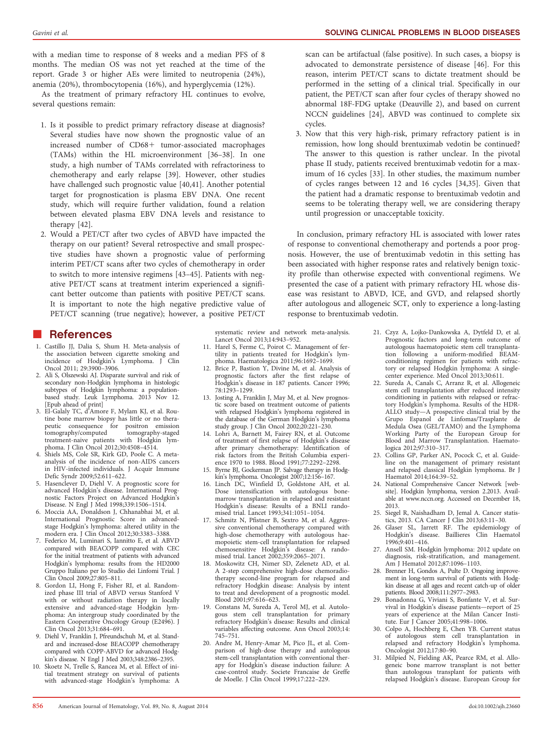with a median time to response of 8 weeks and a median PFS of 8 months. The median OS was not yet reached at the time of the report. Grade 3 or higher AEs were limited to neutropenia (24%), anemia (20%), thrombocytopenia (16%), and hyperglycemia (12%).

As the treatment of primary refractory HL continues to evolve, several questions remain:

- 1. Is it possible to predict primary refractory disease at diagnosis? Several studies have now shown the prognostic value of an increased number of CD68+ tumor-associated macrophages (TAMs) within the HL microenvironment [36–38]. In one study, a high number of TAMs correlated with refractoriness to chemotherapy and early relapse [39]. However, other studies have challenged such prognostic value [40,41]. Another potential target for prognostication is plasma EBV DNA. One recent study, which will require further validation, found a relation between elevated plasma EBV DNA levels and resistance to therapy [42].
- 2. Would a PET/CT after two cycles of ABVD have impacted the therapy on our patient? Several retrospective and small prospective studies have shown a prognostic value of performing interim PET/CT scans after two cycles of chemotherapy in order to switch to more intensive regimens [43–45]. Patients with negative PET/CT scans at treatment interim experienced a significant better outcome than patients with positive PET/CT scans. It is important to note the high negative predictive value of PET/CT scanning (true negative); however, a positive PET/CT

### **References**

- 1. Castillo JJ, Dalia S, Shum H. Meta-analysis of the association between cigarette smoking and incidence of Hodgkin's Lymphoma. J Clin Oncol 2011; 29:3900–3906.
- 2. Ali S, Olszewski AJ. Disparate survival and risk of secondary non-Hodgkin lymphoma in histologic subtypes of Hodgkin lymphoma: a populationbased study. Leuk Lymphoma. 2013 Nov 12. [Epub ahead of print]
- 3. El-Galaly TC, d'Amore F, Mylam KJ, et al. Routine bone marrow biopsy has little or no therapeutic consequence for positron emission tomography/computed tomography-staged treatment-naive patients with Hodgkin lymphoma. J Clin Oncol 2012;30:4508–4514.
- 4. Shiels MS, Cole SR, Kirk GD, Poole C. A metaanalysis of the incidence of non-AIDS cancers in HIV-infected individuals. J Acquir Immune Defic Syndr 2009;52:611–622.
- 5. Hasenclever D, Diehl V. A prognostic score for advanced Hodgkin's disease. International Prognostic Factors Project on Advanced Hodgkin's Disease. N Engl J Med 1998;339:1506–1514.
- 6. Moccia AA, Donaldson J, Chhanabhai M, et al. International Prognostic Score in advancedstage Hodgkin's lymphoma: altered utility in the modern era. J Clin Oncol 2012;30:3383–3388.
- 7. Federico M, Luminari S, Iannitto E, et al. ABVD compared with BEACOPP compared with CEC for the initial treatment of patients with advanced Hodgkin's lymphoma: results from the HD2000 Gruppo Italiano per lo Studio dei Linfomi Trial. J Clin Oncol 2009;27:805–811.
- 8. Gordon LI, Hong F, Fisher RI, et al. Randomized phase III trial of ABVD versus Stanford V with or without radiation therapy in locally extensive and advanced-stage Hodgkin lymphoma: An intergroup study coordinated by the Eastern Cooperative Oncology Group (E2496). J Clin Oncol 2013;31:684–691.
- 9. Diehl V, Franklin J, Pfreundschuh M, et al. Standard and increased-dose BEACOPP chemotherapy compared with COPP-ABVD for advanced Hodgkin's disease. N Engl J Med 2003;348:2386–2395.
- 10. Skoetz N, Trelle S, Rancea M, et al. Effect of initial treatment strategy on survival of patients with advanced-stage Hodgkin's lymphoma: A

systematic review and network meta-analysis. Lancet Oncol 2013;14:943–952.

- 11. Harel S, Ferme C, Poirot C. Management of fertility in patients treated for Hodgkin's lymphoma. Haematologica 2011;96:1692–1699.
- 12. Brice P, Bastion Y, Divine M, et al. Analysis of prognostic factors after the first relapse of Hodgkin's disease in 187 patients. Cancer 1996; 78:1293–1299.
- 13. Josting A, Franklin J, May M, et al. New prognostic score based on treatment outcome of patients with relapsed Hodgkin's lymphoma registered in the database of the German Hodgkin's lymphoma study group. J Clin Oncol 2002;20:221–230.
- 14. Lohri A, Barnett M, Fairey RN, et al. Outcome of treatment of first relapse of Hodgkin's disease after primary chemotherapy: Identification of risk factors from the British Columbia experience 1970 to 1988. Blood 1991;77:2292–2298.
- 15. Byrne BJ, Gockerman JP. Salvage therapy in Hodgkin's lymphoma. Oncologist 2007;12:156–167.
- 16. Linch DC, Winfield D, Goldstone AH, et al. Dose intensification with autologous bonemarrow transplantation in relapsed and resistant Hodgkin's disease: Results of a BNLI randomised trial. Lancet 1993;341:1051–1054.
- 17. Schmitz N, Pfistner B, Sextro M, et al. Aggressive conventional chemotherapy compared with high-dose chemotherapy with autologous haemopoietic stem-cell transplantation for relapsed chemosensitive Hodgkin's disease: A randomised trial. Lancet 2002;359:2065–2071.
- 18. Moskowitz CH, Nimer SD, Zelenetz AD, et al. A 2-step comprehensive high-dose chemoradiotherapy second-line program for relapsed and refractory Hodgkin disease: Analysis by intent to treat and development of a prognostic model. Blood 2001;97:616–623.
- 19. Constans M, Sureda A, Terol MJ, et al. Autologous stem cell transplantation for primary refractory Hodgkin's disease: Results and clinical variables affecting outcome. Ann Oncol 2003;14: 745–751.
- 20. Andre M, Henry-Amar M, Pico JL, et al. Comparison of high-dose therapy and autologous stem-cell transplantation with conventional therapy for Hodgkin's disease induction failure: A case-control study. Societe Francaise de Greffe de Moelle. J Clin Oncol 1999;17:222–229.

scan can be artifactual (false positive). In such cases, a biopsy is advocated to demonstrate persistence of disease [46]. For this reason, interim PET/CT scans to dictate treatment should be performed in the setting of a clinical trial. Specifically in our patient, the PET/CT scan after four cycles of therapy showed no abnormal 18F-FDG uptake (Deauville 2), and based on current NCCN guidelines [24], ABVD was continued to complete six cycles.

3. Now that this very high-risk, primary refractory patient is in remission, how long should brentuximab vedotin be continued? The answer to this question is rather unclear. In the pivotal phase II study, patients received brentuximab vedotin for a maximum of 16 cycles [33]. In other studies, the maximum number of cycles ranges between 12 and 16 cycles [34,35]. Given that the patient had a dramatic response to brentuximab vedotin and seems to be tolerating therapy well, we are considering therapy until progression or unacceptable toxicity.

In conclusion, primary refractory HL is associated with lower rates of response to conventional chemotherapy and portends a poor prognosis. However, the use of brentuximab vedotin in this setting has been associated with higher response rates and relatively benign toxicity profile than otherwise expected with conventional regimens. We presented the case of a patient with primary refractory HL whose disease was resistant to ABVD, ICE, and GVD, and relapsed shortly after autologous and allogeneic SCT, only to experience a long-lasting response to brentuximab vedotin.

- 21. Czyz A, Lojko-Dankowska A, Dytfeld D, et al. Prognostic factors and long-term outcome of autologous haematopoietic stem cell transplantation following a uniform-modified BEAMconditioning regimen for patients with refractory or relapsed Hodgkin lymphoma: A singlecenter experience. Med Oncol 2013;30:611.
- 22. Sureda A, Canals C, Arranz R, et al. Allogeneic stem cell transplantation after reduced intensity conditioning in patients with relapsed or refractory Hodgkin's lymphoma. Results of the HDR-ALLO study—A prospective clinical trial by the Grupo Espanol de Linfomas/Trasplante de Linfomas/Trasplante de Medula Osea (GEL/TAMO) and the Lymphoma Working Party of the European Group for Blood and Marrow Transplantation. Haematologica 2012;97:310–317.
- 23. Collins GP, Parker AN, Pocock C, et al. Guideline on the management of primary resistant and relapsed classical Hodgkin lymphoma. Br J Haematol 2014;164:39–52.
- 24. National Comprehensive Cancer Network [website]. Hodgkin lymphoma, version 2.2013. Available at [www.nccn.org.](http://www.nccn.org) Accessed on December 18, 2013.
- 25. Siegel R, Naishadham D, Jemal A. Cancer statistics, 2013. CA Cancer J Clin 2013;63:11–30.
- 26. Glaser SL, Jarrett RF. The epidemiology of Hodgkin's disease. Baillieres Clin Haematol 1996;9:401–416.
- 27. Ansell SM. Hodgkin lymphoma: 2012 update on diagnosis, risk-stratification, and management. Am J Hematol 2012;87:1096–1103.
- 28. Brenner H, Gondos A, Pulte D. Ongoing improvement in long-term survival of patients with Hodgkin disease at all ages and recent catch-up of older patients. Blood 2008;111:2977–2983.
- 29. Bonadonna G, Viviani S, Bonfante V, et al. Survival in Hodgkin's disease patients—report of 25 years of experience at the Milan Cancer Institute. Eur J Cancer 2005;41:998–1006.
- 30. Colpo A, Hochberg E, Chen YB. Current status of autologous stem cell transplantation in relapsed and refractory Hodgkin's lymphoma. Oncologist 2012;17:80–90.
- 31. Milpied N, Fielding AK, Pearce RM, et al. Allogeneic bone marrow transplant is not better than autologous transplant for patients with relapsed Hodgkin's disease. European Group for